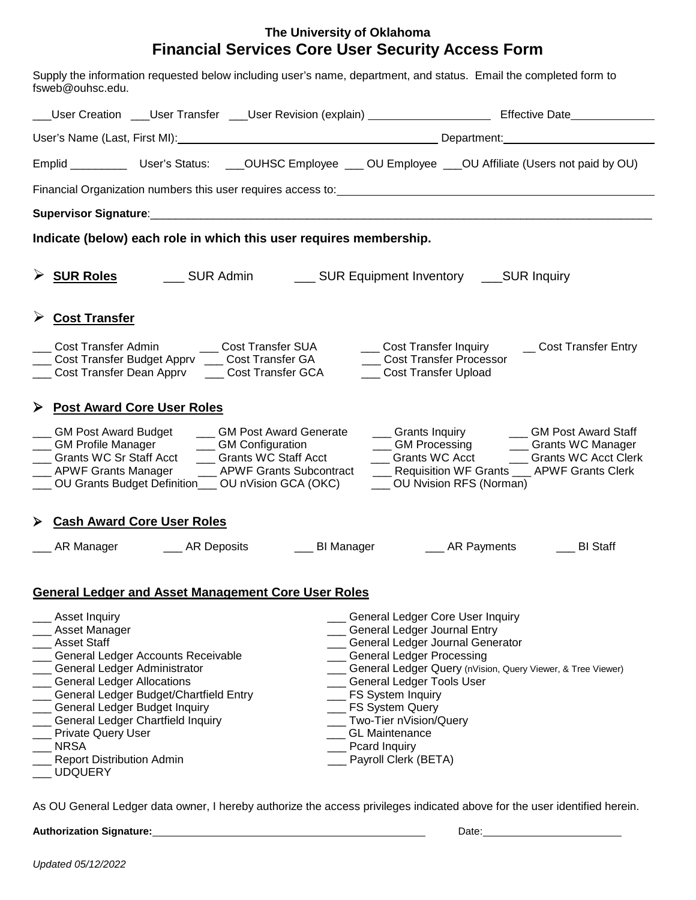## **The University of Oklahoma Financial Services Core User Security Access Form**

| Supply the information requested below including user's name, department, and status. Email the completed form to<br>fsweb@ouhsc.edu.                                                                                                                                                                                                                                                                                                                                                                                                                                                                                                                                                                                                                                        |  |  |
|------------------------------------------------------------------------------------------------------------------------------------------------------------------------------------------------------------------------------------------------------------------------------------------------------------------------------------------------------------------------------------------------------------------------------------------------------------------------------------------------------------------------------------------------------------------------------------------------------------------------------------------------------------------------------------------------------------------------------------------------------------------------------|--|--|
| ___User Creation ____User Transfer ____User Revision (explain) ________________________ Effective Date___________                                                                                                                                                                                                                                                                                                                                                                                                                                                                                                                                                                                                                                                            |  |  |
|                                                                                                                                                                                                                                                                                                                                                                                                                                                                                                                                                                                                                                                                                                                                                                              |  |  |
| Emplid ____________ User's Status: ____OUHSC Employee ____ OU Employee ____OU Affiliate (Users not paid by OU)                                                                                                                                                                                                                                                                                                                                                                                                                                                                                                                                                                                                                                                               |  |  |
|                                                                                                                                                                                                                                                                                                                                                                                                                                                                                                                                                                                                                                                                                                                                                                              |  |  |
|                                                                                                                                                                                                                                                                                                                                                                                                                                                                                                                                                                                                                                                                                                                                                                              |  |  |
| Indicate (below) each role in which this user requires membership.                                                                                                                                                                                                                                                                                                                                                                                                                                                                                                                                                                                                                                                                                                           |  |  |
|                                                                                                                                                                                                                                                                                                                                                                                                                                                                                                                                                                                                                                                                                                                                                                              |  |  |
| Cost Transfer                                                                                                                                                                                                                                                                                                                                                                                                                                                                                                                                                                                                                                                                                                                                                                |  |  |
| Cost Transfer Admin<br>___ Cost Transfer SUA<br>___ Cost Transfer Inquiry ____ Cost Transfer Entry<br>Cost Transfer Budget Apprv ____ Cost Transfer GA<br><b>Cost Transfer Processor</b><br>Cost Transfer Dean Apprv _____ Cost Transfer GCA<br>___ Cost Transfer Upload                                                                                                                                                                                                                                                                                                                                                                                                                                                                                                     |  |  |
| ▶ Post Award Core User Roles                                                                                                                                                                                                                                                                                                                                                                                                                                                                                                                                                                                                                                                                                                                                                 |  |  |
| <b>GM Post Award Budget</b><br>___ Grants Inquiry ______ GM Post Award Staff<br>CM Post Award Generate<br>CM Processing Cants WC Manager<br>___ GM Profile Manager<br>___ GM Configuration<br>___ Grants WC Staff Acct<br>__ Grants WC Sr Staff Acct<br>___ Grants WC Acct ___ Grants WC Acct Clerk<br>__ Requisition WF Grants __ APWF Grants Clerk<br>_ APWF Grants Manager<br>__ APWF Grants Subcontract<br>___ OU Grants Budget Definition___ OU nVision GCA (OKC)<br>___ OU Nvision RFS (Norman)                                                                                                                                                                                                                                                                        |  |  |
| > Cash Award Core User Roles                                                                                                                                                                                                                                                                                                                                                                                                                                                                                                                                                                                                                                                                                                                                                 |  |  |
| AR Manager ________ AR Deposits<br><b>Example 1</b> BI Manager<br><b>Example 2 AR Payments</b><br>__ BI Staff                                                                                                                                                                                                                                                                                                                                                                                                                                                                                                                                                                                                                                                                |  |  |
| <b>General Ledger and Asset Management Core User Roles</b>                                                                                                                                                                                                                                                                                                                                                                                                                                                                                                                                                                                                                                                                                                                   |  |  |
| _ General Ledger Core User Inquiry<br>Asset Inquiry<br>Asset Manager<br>___ General Ledger Journal Entry<br><b>Asset Staff</b><br>__ General Ledger Journal Generator<br><b>Ceneral Ledger Processing</b><br>General Ledger Accounts Receivable<br>General Ledger Administrator<br>Ceneral Ledger Query (nVision, Query Viewer, & Tree Viewer)<br><b>General Ledger Allocations</b><br>_ General Ledger Tools User<br>General Ledger Budget/Chartfield Entry<br>_ FS System Inquiry<br>_ FS System Query<br>General Ledger Budget Inquiry<br>General Ledger Chartfield Inquiry<br>Two-Tier nVision/Query<br><b>Private Query User</b><br><b>GL Maintenance</b><br><b>NRSA</b><br>Pcard Inquiry<br>Payroll Clerk (BETA)<br><b>Report Distribution Admin</b><br><b>UDQUERY</b> |  |  |

As OU General Ledger data owner, I hereby authorize the access privileges indicated above for the user identified herein.

**Authorization Signature:** Date: